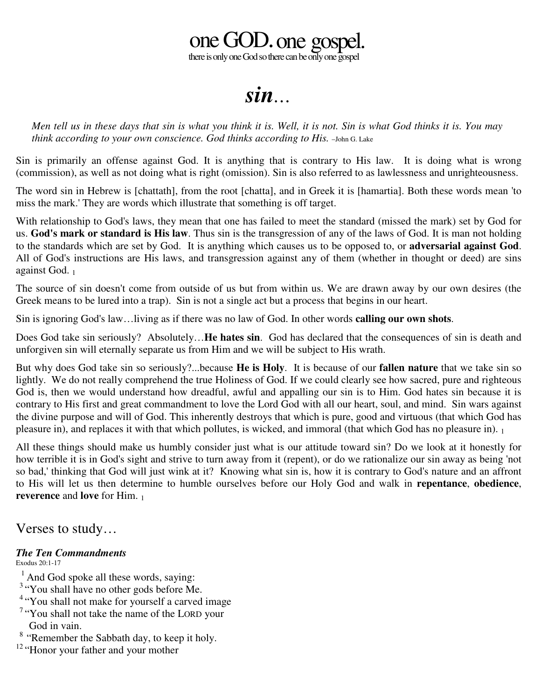## one GOD.one gosp

there is only one God so there can be only one gospel

*sin…*

Men tell us in these days that sin is what you think it is. Well, it is not. Sin is what God thinks it is. You may *think according to your own conscience. God thinks according to His.* –John G. Lake

Sin is primarily an offense against God. It is anything that is contrary to His law. It is doing what is wrong (commission), as well as not doing what is right (omission). Sin is also referred to as lawlessness and unrighteousness.

The word sin in Hebrew is [chattath], from the root [chatta], and in Greek it is [hamartia]. Both these words mean 'to miss the mark.' They are words which illustrate that something is off target.

With relationship to God's laws, they mean that one has failed to meet the standard (missed the mark) set by God for us. **God's mark or standard is His law**. Thus sin is the transgression of any of the laws of God. It is man not holding to the standards which are set by God. It is anything which causes us to be opposed to, or **adversarial against God**. All of God's instructions are His laws, and transgression against any of them (whether in thought or deed) are sins against God. 1

The source of sin doesn't come from outside of us but from within us. We are drawn away by our own desires (the Greek means to be lured into a trap). Sin is not a single act but a process that begins in our heart.

Sin is ignoring God's law…living as if there was no law of God. In other words **calling our own shots**.

Does God take sin seriously? Absolutely…**He hates sin**. God has declared that the consequences of sin is death and unforgiven sin will eternally separate us from Him and we will be subject to His wrath.

But why does God take sin so seriously?...because **He is Holy**. It is because of our **fallen nature** that we take sin so lightly. We do not really comprehend the true Holiness of God. If we could clearly see how sacred, pure and righteous God is, then we would understand how dreadful, awful and appalling our sin is to Him. God hates sin because it is contrary to His first and great commandment to love the Lord God with all our heart, soul, and mind. Sin wars against the divine purpose and will of God. This inherently destroys that which is pure, good and virtuous (that which God has pleasure in), and replaces it with that which pollutes, is wicked, and immoral (that which God has no pleasure in). <sup>1</sup>

All these things should make us humbly consider just what is our attitude toward sin? Do we look at it honestly for how terrible it is in God's sight and strive to turn away from it (repent), or do we rationalize our sin away as being 'not so bad,' thinking that God will just wink at it? Knowing what sin is, how it is contrary to God's nature and an affront to His will let us then determine to humble ourselves before our Holy God and walk in **repentance**, **obedience**, **reverence** and **love** for Him. 1

Verses to study…

## *The Ten Commandments*

Exodus 20:1-17

- <sup>1</sup> And God spoke all these words, saying:
- <sup>3</sup> "You shall have no other gods before Me.
- <sup>4</sup> "You shall not make for yourself a carved image
- <sup>7</sup> "You shall not take the name of the LORD your God in vain.
- <sup>8</sup> "Remember the Sabbath day, to keep it holy.

<sup>12</sup> "Honor your father and your mother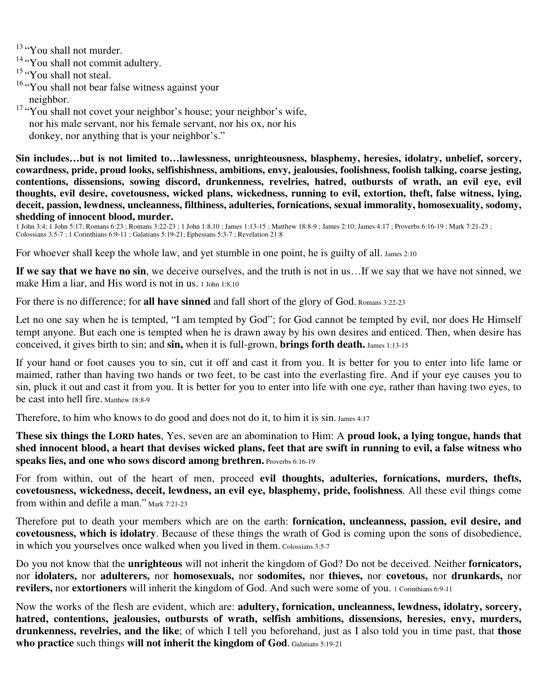<sup>13</sup> "You shall not murder.

<sup>14</sup> "You shall not commit adultery.

<sup>15</sup> "You shall not steal.

<sup>16</sup> "You shall not bear false witness against your neighbor.

<sup>17</sup> "You shall not covet your neighbor's house; your neighbor's wife, nor his male servant, nor his female servant, nor his ox, nor his donkey, nor anything that is your neighbor's."

**Sin includes…but is not limited to…lawlessness, unrighteousness, blasphemy, heresies, idolatry, unbelief, sorcery, cowardness, pride, proud looks, selfishishness, ambitions, envy, jealousies, foolishness, foolish talking, coarse jesting, contentions, dissensions, sowing discord, drunkenness, revelries, hatred, outbursts of wrath, an evil eye, evil thoughts, evil desire, covetousness, wicked plans, wickedness, running to evil, extortion, theft, false witness, lying, deceit, passion, lewdness, uncleanness, filthiness, adulteries, fornications, sexual immorality, homosexuality, sodomy, shedding of innocent blood, murder.**

1 John 3:4; 1 John 5:17; Romans 6:23 ; Romans 3:22-23 ; 1 John 1:8,10 ; James 1:13-15 ; Matthew 18:8-9 ; James 2:10; James 4:17 ; Proverbs 6:16-19 ; Mark 7:21-23 ; Colossians 3:5-7 ; 1 Corinthians 6:9-11 ; Galatians 5:19-21; Ephesians 5:3-7 ; Revelation 21:8

For whoever shall keep the whole law, and yet stumble in one point, he is guilty of all. James 2:10

**If we say that we have no sin**, we deceive ourselves, and the truth is not in us…If we say that we have not sinned, we make Him a liar, and His word is not in us. 1 John 1:8,10

For there is no difference; for **all have sinned** and fall short of the glory of God. Romans 3:22-23

Let no one say when he is tempted, "I am tempted by God"; for God cannot be tempted by evil, nor does He Himself tempt anyone. But each one is tempted when he is drawn away by his own desires and enticed. Then, when desire has conceived, it gives birth to sin; and **sin,** when it is full-grown, **brings forth death.** James 1:13-15

If your hand or foot causes you to sin, cut it off and cast it from you. It is better for you to enter into life lame or maimed, rather than having two hands or two feet, to be cast into the everlasting fire. And if your eye causes you to sin, pluck it out and cast it from you. It is better for you to enter into life with one eye, rather than having two eyes, to be cast into hell fire. Matthew 18:8-9

Therefore, to him who knows to do good and does not do it, to him it is sin. James 4:17

**These six things the LORD hates**, Yes, seven are an abomination to Him: A **proud look, a lying tongue, hands that** shed innocent blood, a heart that devises wicked plans, feet that are swift in running to evil, a false witness who **speaks lies, and one who sows discord among brethren.** Proverbs 6:16-19

For from within, out of the heart of men, proceed **evil thoughts, adulteries, fornications, murders, thefts, covetousness, wickedness, deceit, lewdness, an evil eye, blasphemy, pride, foolishness**. All these evil things come from within and defile a man." Mark 7:21-23

Therefore put to death your members which are on the earth: **fornication, uncleanness, passion, evil desire, and covetousness, which is idolatry**. Because of these things the wrath of God is coming upon the sons of disobedience, in which you yourselves once walked when you lived in them. Colossians 3:5-7

Do you not know that the **unrighteous** will not inherit the kingdom of God? Do not be deceived. Neither **fornicators,** nor **idolaters,** nor **adulterers,** nor **homosexuals,** nor **sodomites,** nor **thieves,** nor **covetous,** nor **drunkards,** nor **revilers,** nor **extortioners** will inherit the kingdom of God. And such were some of you. 1 Corinthians 6:9-11

Now the works of the flesh are evident, which are: **adultery, fornication, uncleanness, lewdness, idolatry, sorcery, hatred, contentions, jealousies, outbursts of wrath, selfish ambitions, dissensions, heresies, envy, murders, drunkenness, revelries, and the like**; of which I tell you beforehand, just as I also told you in time past, that **those who practice** such things **will not inherit the kingdom of God**. Galatians 5:19-21